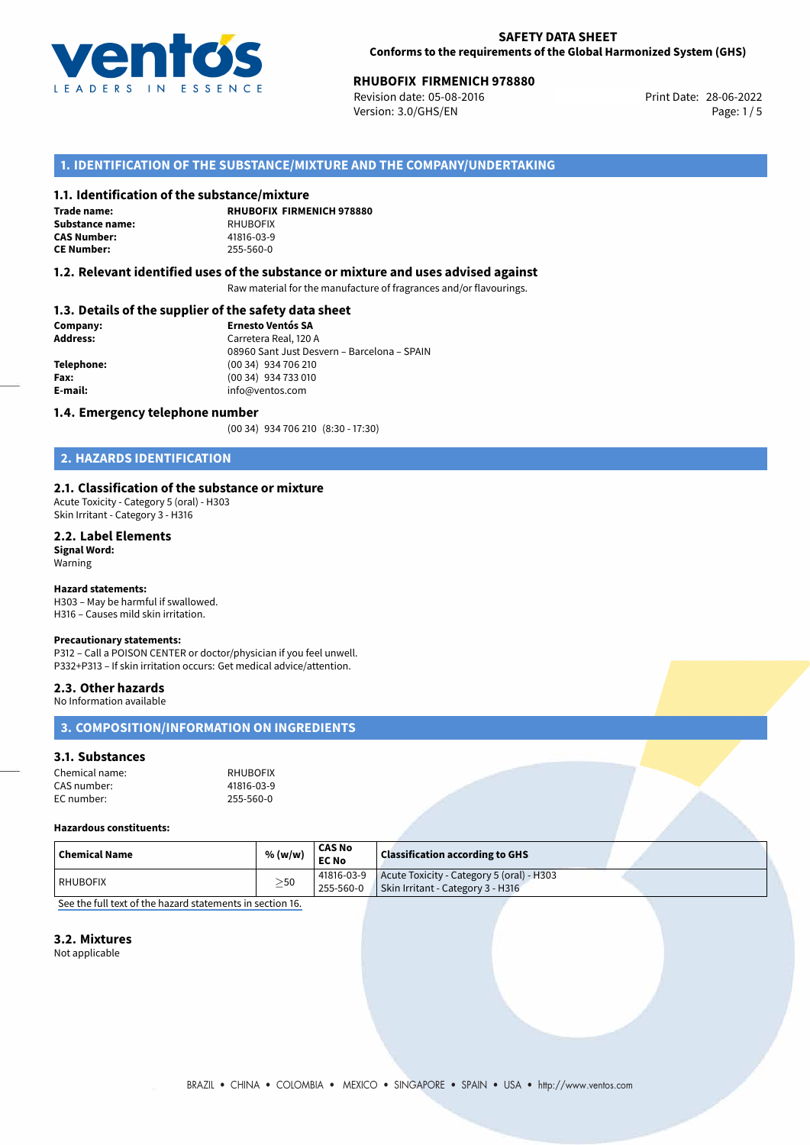

## **SAFETY DATA SHEET Conforms to the requirements of the Global Harmonized System (GHS)**

# **RHUBOFIX FIRMENICH 978880**<br>
Revision date: 05-08-2016<br> **Print Date: 28-06-2022**

Revision date: 05-08-2016 Version: 3.0/GHS/EN Page: 1/5

# **1. IDENTIFICATION OF THE SUBSTANCE/MIXTURE AND THE COMPANY/UNDERTAKING**

## **1.1. Identification of the substance/mixture**

**Trade name: Substance name:** RHUBOFIX<br> **CAS Number:** 241816-03-9 **CAS Number:** 41816-03-9<br> **CE Number:** 255-560-0 **CE Number:** 255-560-0

**RHUBOFIX FIRMENICH 978880**

## **1.2. Relevant identified uses of the substance or mixture and uses advised against**

Raw material for the manufacture of fragrances and/or flavourings.

## **1.3. Details of the supplier of the safety data sheet**

| Company:        | <b>Ernesto Ventós SA</b>                    |  |
|-----------------|---------------------------------------------|--|
| <b>Address:</b> | Carretera Real, 120 A                       |  |
|                 | 08960 Sant Just Desvern - Barcelona - SPAIN |  |
| Telephone:      | (00 34) 934 706 210                         |  |
| Fax:            | (00 34) 934 733 010                         |  |
| E-mail:         | info@ventos.com                             |  |
|                 |                                             |  |

## **1.4. Emergency telephone number**

(00 34) 934 706 210 (8:30 - 17:30)

# **2. HAZARDS IDENTIFICATION**

## **2.1. Classification of the substance or mixture**

Acute Toxicity - Category 5 (oral) - H303 Skin Irritant - Category 3 - H316

#### **2.2. Label Elements Signal Word:**

Warning

## **Hazard statements:**

H303 – May be harmful if swallowed. H316 – Causes mild skin irritation.

### **Precautionary statements:**

P312 – Call a POISON CENTER or doctor/physician if you feel unwell. P332+P313 – If skin irritation occurs: Get medical advice/attention.

### **2.3. Other hazards**

No Information available

# **3. COMPOSITION/INFORMATION ON INGREDIENTS**

# **3.1. Substances**

| Chemical name: | <b>RHUBOFIX</b> |
|----------------|-----------------|
| CAS number:    | 41816-03-9      |
| EC number:     | 255-560-0       |

#### **Hazardous constituents:**

| Chemical Name | % (w/w)   | <b>CAS No</b><br><b>EC No</b> | <b>Classification according to GHS</b>                                                                    |  |
|---------------|-----------|-------------------------------|-----------------------------------------------------------------------------------------------------------|--|
| l RHUBOFIX    | $\geq$ 50 | 255-560-0                     | $\vert$ 41816-03-9 $\vert$ Acute Toxicity - Category 5 (oral) - H303<br>Skin Irritant - Category 3 - H316 |  |

[See the full text of the hazard statements in section 16.](#page--1-0)

### **3.2. Mixtures**

Not applicable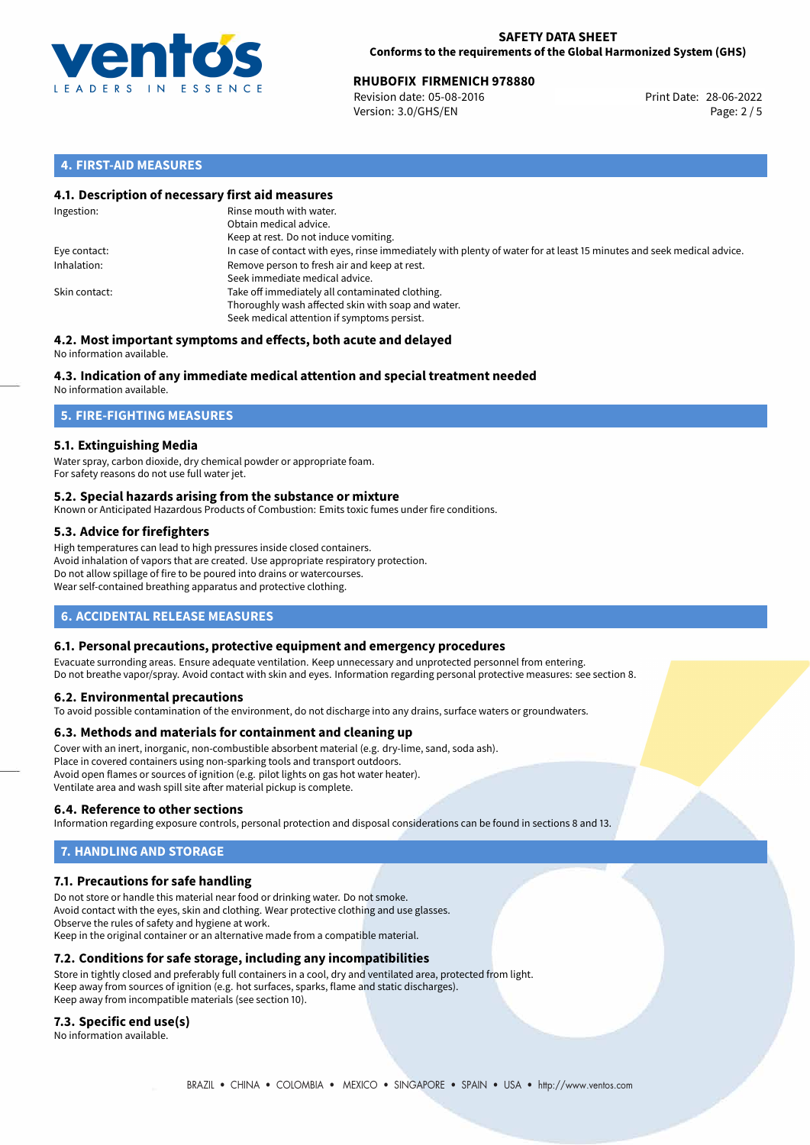

## **SAFETY DATA SHEET Conforms to the requirements of the Global Harmonized System (GHS)**

# **RHUBOFIX FIRMENICH 978880**<br> **28-06-2022** Revision date: 05-08-2016

Revision date: 05-08-2016 Version: 3.0/GHS/EN Page: 2 / 5

# **4. FIRST-AID MEASURES**

## **4.1. Description of necessary first aid measures**

| Ingestion:    | Rinse mouth with water.<br>Obtain medical advice.<br>Keep at rest. Do not induce vomiting.                                                           |
|---------------|------------------------------------------------------------------------------------------------------------------------------------------------------|
| Eye contact:  | In case of contact with eyes, rinse immediately with plenty of water for at least 15 minutes and seek medical advice.                                |
| Inhalation:   | Remove person to fresh air and keep at rest.<br>Seek immediate medical advice.                                                                       |
| Skin contact: | Take off immediately all contaminated clothing.<br>Thoroughly wash affected skin with soap and water.<br>Seek medical attention if symptoms persist. |

#### **4.2. Most important symptoms and effects, both acute and delayed** No information available.

# **4.3. Indication of any immediate medical attention and special treatment needed**

No information available.

# **5. FIRE-FIGHTING MEASURES**

## **5.1. Extinguishing Media**

Water spray, carbon dioxide, dry chemical powder or appropriate foam. For safety reasons do not use full water jet.

## **5.2. Special hazards arising from the substance or mixture**

Known or Anticipated Hazardous Products of Combustion: Emits toxic fumes under fire conditions.

## **5.3. Advice for firefighters**

High temperatures can lead to high pressures inside closed containers. Avoid inhalation of vapors that are created. Use appropriate respiratory protection. Do not allow spillage of fire to be poured into drains or watercourses. Wear self-contained breathing apparatus and protective clothing.

# **6. ACCIDENTAL RELEASE MEASURES**

## **6.1. Personal precautions, protective equipment and emergency procedures**

Evacuate surronding areas. Ensure adequate ventilation. Keep unnecessary and unprotected personnel from entering. Do not breathe vapor/spray. Avoid contact with skin and eyes. Information regarding personal protective measures: see section 8.

## **6.2. Environmental precautions**

To avoid possible contamination of the environment, do not discharge into any drains, surface waters or groundwaters.

## **6.3. Methods and materials for containment and cleaning up**

Cover with an inert, inorganic, non-combustible absorbent material (e.g. dry-lime, sand, soda ash). Place in covered containers using non-sparking tools and transport outdoors. Avoid open flames or sources of ignition (e.g. pilot lights on gas hot water heater). Ventilate area and wash spill site after material pickup is complete.

## **6.4. Reference to other sections**

Information regarding exposure controls, personal protection and disposal considerations can be found in sections 8 and 13.

# **7. HANDLING AND STORAGE**

## **7.1. Precautions for safe handling**

Do not store or handle this material near food or drinking water. Do not smoke. Avoid contact with the eyes, skin and clothing. Wear protective clothing and use glasses. Observe the rules of safety and hygiene at work. Keep in the original container or an alternative made from a compatible material.

# **7.2. Conditions for safe storage, including any incompatibilities**

Store in tightly closed and preferably full containers in a cool, dry and ventilated area, protected from light. Keep away from sources of ignition (e.g. hot surfaces, sparks, flame and static discharges). Keep away from incompatible materials (see section 10).

## **7.3. Specific end use(s)**

No information available.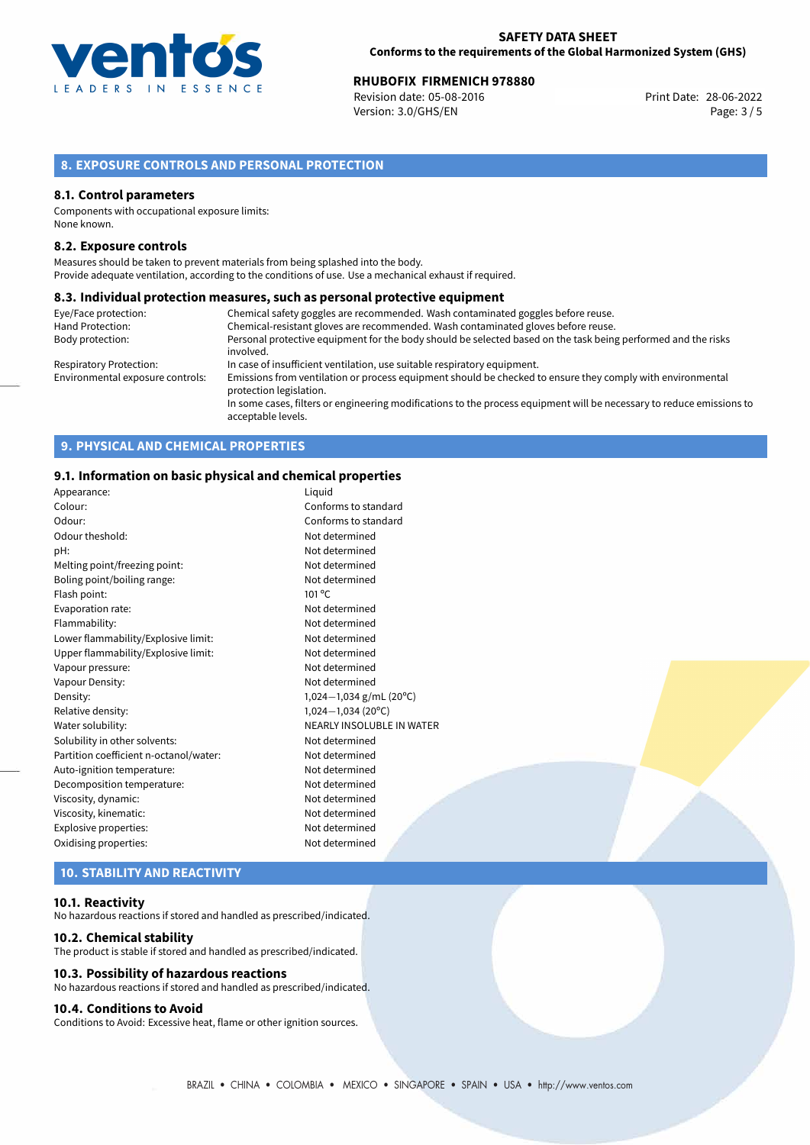

# **RHUBOFIX FIRMENICH 978880**<br>
Revision date: 05-08-2016<br> **Print Date: 28-06-2022**

Revision date: 05-08-2016 Version: 3.0/GHS/EN Page: 3 / 5

# **8. EXPOSURE CONTROLS AND PERSONAL PROTECTION**

## **8.1. Control parameters**

Components with occupational exposure limits: None known.

## **8.2. Exposure controls**

Measures should be taken to prevent materials from being splashed into the body. Provide adequate ventilation, according to the conditions of use. Use a mechanical exhaust if required.

## **8.3. Individual protection measures, such as personal protective equipment**

| Eye/Face protection:             | Chemical safety goggles are recommended. Wash contaminated goggles before reuse.                                                            |
|----------------------------------|---------------------------------------------------------------------------------------------------------------------------------------------|
| Hand Protection:                 | Chemical-resistant gloves are recommended. Wash contaminated gloves before reuse.                                                           |
| Body protection:                 | Personal protective equipment for the body should be selected based on the task being performed and the risks                               |
|                                  | involved.                                                                                                                                   |
| Respiratory Protection:          | In case of insufficient ventilation, use suitable respiratory equipment.                                                                    |
| Environmental exposure controls: | Emissions from ventilation or process equipment should be checked to ensure they comply with environmental<br>protection legislation.       |
|                                  | In some cases, filters or engineering modifications to the process equipment will be necessary to reduce emissions to<br>acceptable levels. |

# **9. PHYSICAL AND CHEMICAL PROPERTIES**

## **9.1. Information on basic physical and chemical properties**

| Appearance:                                    | Liguid                      |  |
|------------------------------------------------|-----------------------------|--|
| Colour:                                        | Conforms to standard        |  |
| Odour:                                         | Conforms to standard        |  |
| Odour theshold:                                | Not determined              |  |
| pH:                                            | Not determined              |  |
| Melting point/freezing point:                  | Not determined              |  |
| Boling point/boiling range:                    | Not determined              |  |
| Flash point:                                   | $101^{\circ}$ C             |  |
| Evaporation rate:<br>Not determined            |                             |  |
| Flammability:                                  | Not determined              |  |
| Lower flammability/Explosive limit:            | Not determined              |  |
| Upper flammability/Explosive limit:            | Not determined              |  |
| Vapour pressure:                               | Not determined              |  |
| Vapour Density:                                | Not determined              |  |
| Density:                                       | 1,024 $-1$ ,034 g/mL (20°C) |  |
| Relative density:                              | $1,024-1,034(20°C)$         |  |
| NEARLY INSOLUBLE IN WATER<br>Water solubility: |                             |  |
| Solubility in other solvents:                  | Not determined              |  |
| Partition coefficient n-octanol/water:         | Not determined              |  |
| Auto-ignition temperature:                     | Not determined              |  |
| Decomposition temperature:                     | Not determined              |  |
| Viscosity, dynamic:                            | Not determined              |  |
| Viscosity, kinematic:<br>Not determined        |                             |  |
| Explosive properties:                          | Not determined              |  |
| Oxidising properties:                          | Not determined              |  |
|                                                |                             |  |

# **10. STABILITY AND REACTIVITY**

### **10.1. Reactivity**

No hazardous reactions if stored and handled as prescribed/indicated.

### **10.2. Chemical stability**

The product is stable if stored and handled as prescribed/indicated.

## **10.3. Possibility of hazardous reactions**

No hazardous reactions if stored and handled as prescribed/indicated.

## **10.4. Conditions to Avoid**

Conditions to Avoid: Excessive heat, flame or other ignition sources.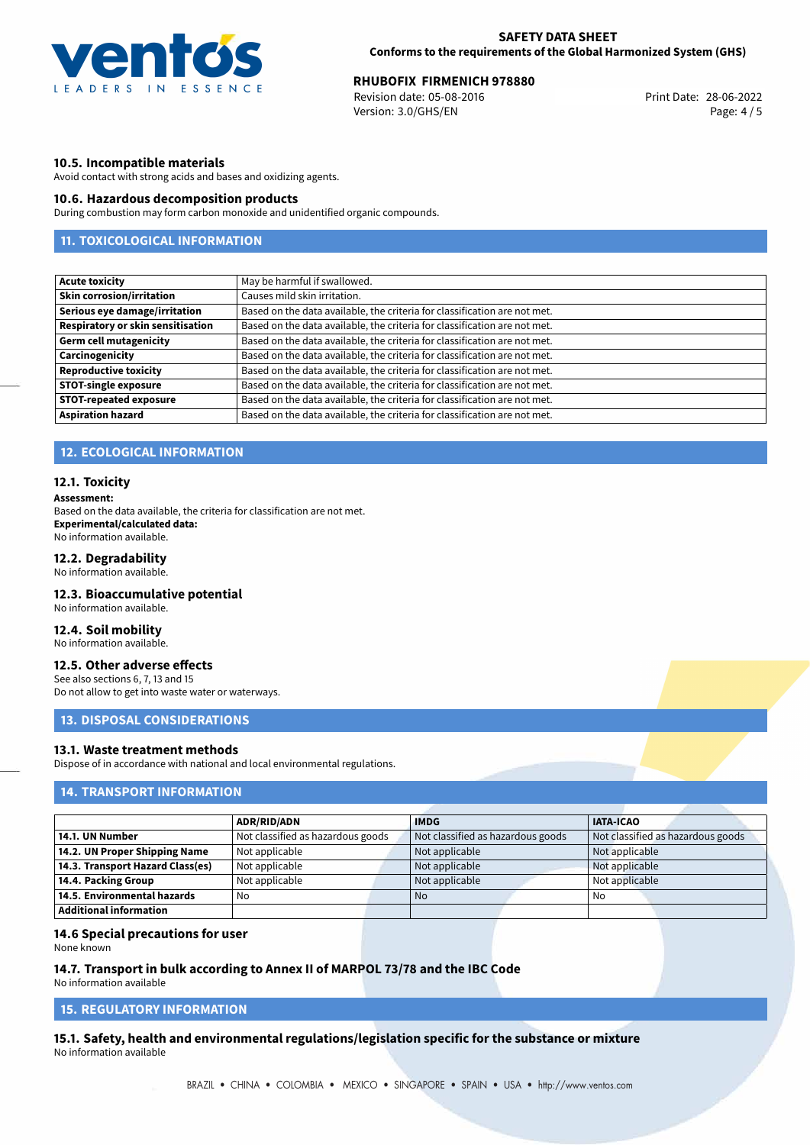

# **RHUBOFIX FIRMENICH 978880**<br>
Revision date: 05-08-2016<br> **Print Date: 28-06-2022**

Revision date: 05-08-2016 Version: 3.0/GHS/EN Page: 4 / 5

## **10.5. Incompatible materials**

Avoid contact with strong acids and bases and oxidizing agents.

## **10.6. Hazardous decomposition products**

During combustion may form carbon monoxide and unidentified organic compounds.

# **11. TOXICOLOGICAL INFORMATION**

| <b>Acute toxicity</b>                    | May be harmful if swallowed.                                              |
|------------------------------------------|---------------------------------------------------------------------------|
| <b>Skin corrosion/irritation</b>         | Causes mild skin irritation.                                              |
| Serious eye damage/irritation            | Based on the data available, the criteria for classification are not met. |
| <b>Respiratory or skin sensitisation</b> | Based on the data available, the criteria for classification are not met. |
| <b>Germ cell mutagenicity</b>            | Based on the data available, the criteria for classification are not met. |
| Carcinogenicity                          | Based on the data available, the criteria for classification are not met. |
| <b>Reproductive toxicity</b>             | Based on the data available, the criteria for classification are not met. |
| <b>STOT-single exposure</b>              | Based on the data available, the criteria for classification are not met. |
| <b>STOT-repeated exposure</b>            | Based on the data available, the criteria for classification are not met. |
| <b>Aspiration hazard</b>                 | Based on the data available, the criteria for classification are not met. |

## **12. ECOLOGICAL INFORMATION**

### **12.1. Toxicity**

#### **Assessment:**

Based on the data available, the criteria for classification are not met. **Experimental/calculated data:** No information available.

## **12.2. Degradability**

No information available.

## **12.3. Bioaccumulative potential**

No information available.

## **12.4. Soil mobility**

No information available.

# **12.5. Other adverse effects**

See also sections 6, 7, 13 and 15 Do not allow to get into waste water or waterways.

## **13. DISPOSAL CONSIDERATIONS**

## **13.1. Waste treatment methods**

Dispose of in accordance with national and local environmental regulations.

## **14. TRANSPORT INFORMATION**

|                                    | <b>ADR/RID/ADN</b>                | <b>IMDG</b>                       | <b>IATA-ICAO</b>                  |
|------------------------------------|-----------------------------------|-----------------------------------|-----------------------------------|
| 14.1. UN Number                    | Not classified as hazardous goods | Not classified as hazardous goods | Not classified as hazardous goods |
| 14.2. UN Proper Shipping Name      | Not applicable                    | Not applicable                    | Not applicable                    |
| 14.3. Transport Hazard Class(es)   | Not applicable                    | Not applicable                    | Not applicable                    |
| 14.4. Packing Group                | Not applicable                    | Not applicable                    | Not applicable                    |
| $\mid$ 14.5. Environmental hazards | No                                | No.                               | No                                |
| Additional information             |                                   |                                   |                                   |

## **14.6 Special precautions for user**

None known

# **14.7. Transport in bulk according to Annex II of MARPOL 73/78 and the IBC Code**

No information available

# **15. REGULATORY INFORMATION**

**15.1. Safety, health and environmental regulations/legislation specific for the substance or mixture** No information available